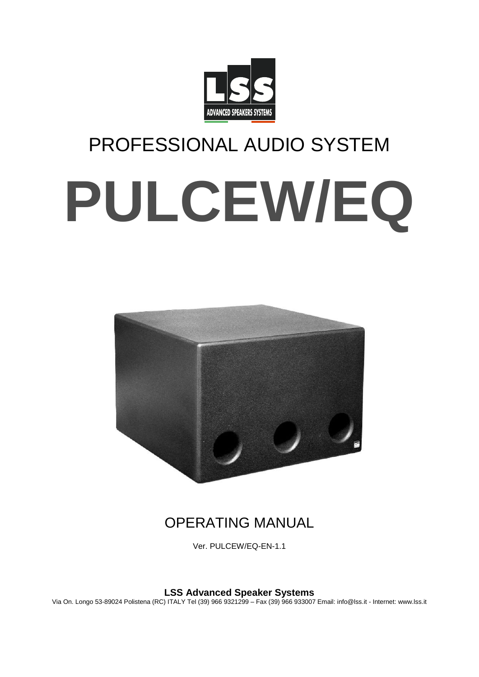

# PROFESSIONAL AUDIO SYSTEM **PULCEW/EQ**



# OPERATING MANUAL

Ver. PULCEW/EQ-EN-1.1

**LSS Advanced Speaker Systems**

Via On. Longo 53-89024 Polistena (RC) ITALY Tel (39) 966 9321299 – Fax (39) 966 933007 Email: info@lss.it - Internet: www.lss.it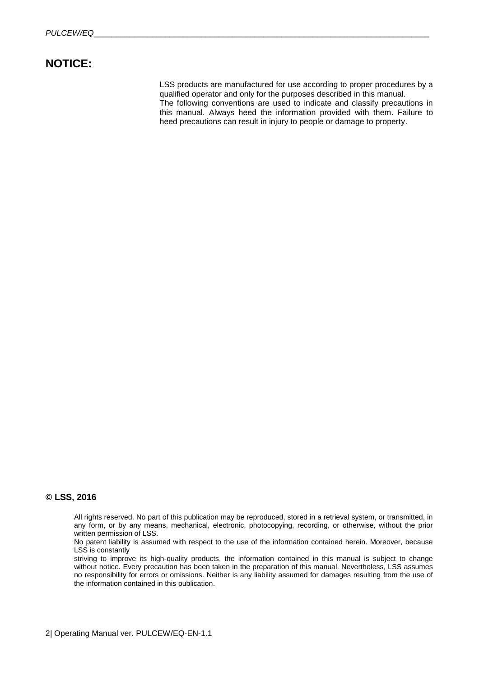## **NOTICE:**

LSS products are manufactured for use according to proper procedures by a qualified operator and only for the purposes described in this manual. The following conventions are used to indicate and classify precautions in this manual. Always heed the information provided with them. Failure to heed precautions can result in injury to people or damage to property.

### **© LSS, 2016**

All rights reserved. No part of this publication may be reproduced, stored in a retrieval system, or transmitted, in any form, or by any means, mechanical, electronic, photocopying, recording, or otherwise, without the prior written permission of LSS.

No patent liability is assumed with respect to the use of the information contained herein. Moreover, because LSS is constantly

striving to improve its high-quality products, the information contained in this manual is subject to change without notice. Every precaution has been taken in the preparation of this manual. Nevertheless, LSS assumes no responsibility for errors or omissions. Neither is any liability assumed for damages resulting from the use of the information contained in this publication.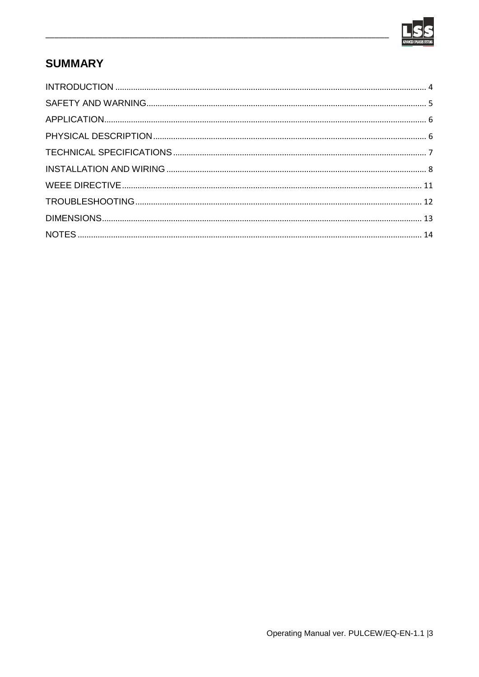

# **SUMMARY**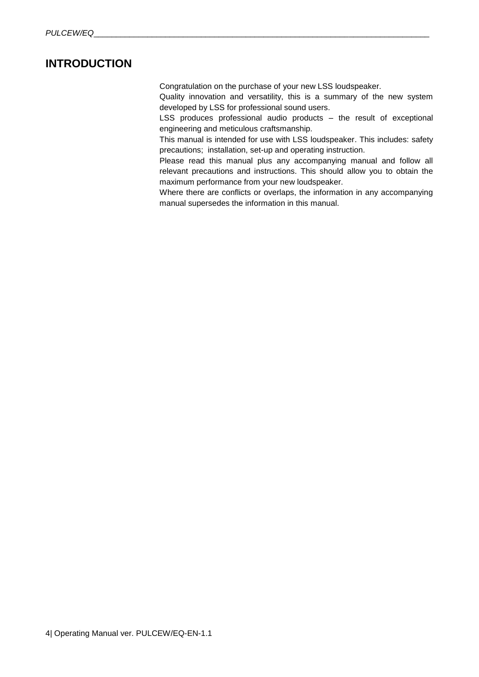## <span id="page-3-0"></span>**INTRODUCTION**

Congratulation on the purchase of your new LSS loudspeaker.

Quality innovation and versatility, this is a summary of the new system developed by LSS for professional sound users.

LSS produces professional audio products – the result of exceptional engineering and meticulous craftsmanship.

This manual is intended for use with LSS loudspeaker. This includes: safety precautions; installation, set-up and operating instruction.

Please read this manual plus any accompanying manual and follow all relevant precautions and instructions. This should allow you to obtain the maximum performance from your new loudspeaker.

Where there are conflicts or overlaps, the information in any accompanying manual supersedes the information in this manual.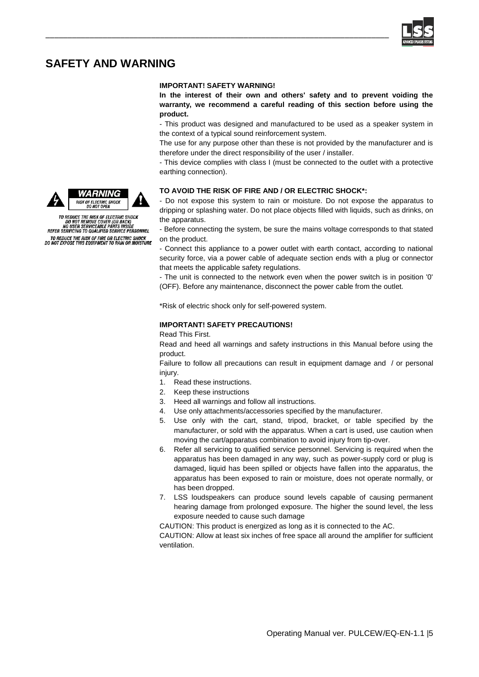

## <span id="page-4-0"></span>**SAFETY AND WARNING**

#### **IMPORTANT! SAFETY WARNING!**

\_\_\_\_\_\_\_\_\_\_\_\_\_\_\_\_\_\_\_\_\_\_\_\_\_\_\_\_\_\_\_\_\_\_\_\_\_\_\_\_\_\_\_\_\_\_\_\_\_\_\_\_\_\_\_\_\_\_\_\_\_\_\_\_\_\_\_\_\_\_\_\_\_\_\_\_\_\_

**In the interest of their own and others' safety and to prevent voiding the warranty, we recommend a careful reading of this section before using the product.**

- This product was designed and manufactured to be used as a speaker system in the context of a typical sound reinforcement system.

The use for any purpose other than these is not provided by the manufacturer and is therefore under the direct responsibility of the user / installer.

- This device complies with class I (must be connected to the outlet with a protective earthing connection).

#### **TO AVOID THE RISK OF FIRE AND / OR ELECTRIC SHOCK\*:**

- Do not expose this system to rain or moisture. Do not expose the apparatus to dripping or splashing water. Do not place objects filled with liquids, such as drinks, on the apparatus.

- Before connecting the system, be sure the mains voltage corresponds to that stated on the product.

- Connect this appliance to a power outlet with earth contact, according to national security force, via a power cable of adequate section ends with a plug or connector that meets the applicable safety regulations.

- The unit is connected to the network even when the power switch is in position '0' (OFF). Before any maintenance, disconnect the power cable from the outlet.

\*Risk of electric shock only for self-powered system.

#### **IMPORTANT! SAFETY PRECAUTIONS!**

Read This First.

Read and heed all warnings and safety instructions in this Manual before using the product.

Failure to follow all precautions can result in equipment damage and / or personal injury.

- 1. Read these instructions.
- 2. Keep these instructions
- 3. Heed all warnings and follow all instructions.
- 4. Use only attachments/accessories specified by the manufacturer.
- 5. Use only with the cart, stand, tripod, bracket, or table specified by the manufacturer, or sold with the apparatus. When a cart is used, use caution when moving the cart/apparatus combination to avoid injury from tip-over.
- 6. Refer all servicing to qualified service personnel. Servicing is required when the apparatus has been damaged in any way, such as power-supply cord or plug is damaged, liquid has been spilled or objects have fallen into the apparatus, the apparatus has been exposed to rain or moisture, does not operate normally, or has been dropped.
- 7. LSS loudspeakers can produce sound levels capable of causing permanent hearing damage from prolonged exposure. The higher the sound level, the less exposure needed to cause such damage

CAUTION: This product is energized as long as it is connected to the AC.

CAUTION: Allow at least six inches of free space all around the amplifier for sufficient ventilation.





TO REDUCE THE RISK OF ELECTRIC SHOCK<br>DO NOT REMOVE COVER (OR BACK)<br>NO USER SERVICEABLE PARTS INSIDE<br>REFER SERVICING TO QUALIFIED SERVICE PERSONNEL TO REDUCE THE RISK OF FIRE OR ELECTRIC SHOCK<br>DO NOT EXPOSE THIS EQUIPMENT TO RAIN OR MOISTURE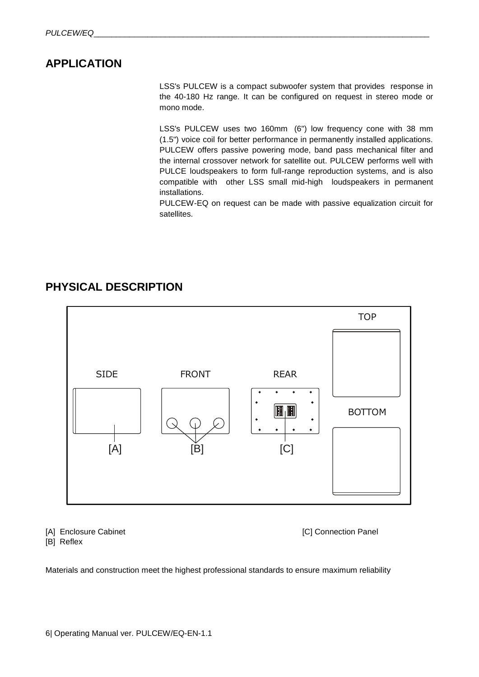## <span id="page-5-0"></span>**APPLICATION**

LSS's PULCEW is a compact subwoofer system that provides response in the 40-180 Hz range. It can be configured on request in stereo mode or mono mode.

LSS's PULCEW uses two 160mm (6") low frequency cone with 38 mm (1.5") voice coil for better performance in permanently installed applications. PULCEW offers passive powering mode, band pass mechanical filter and the internal crossover network for satellite out. PULCEW performs well with PULCE loudspeakers to form full-range reproduction systems, and is also compatible with other LSS small mid-high loudspeakers in permanent installations.

PULCEW-EQ on request can be made with passive equalization circuit for satellites.

## <span id="page-5-1"></span>**PHYSICAL DESCRIPTION**



[A] Enclosure Cabinet **[C]** Connection Panel

[B] Reflex

Materials and construction meet the highest professional standards to ensure maximum reliability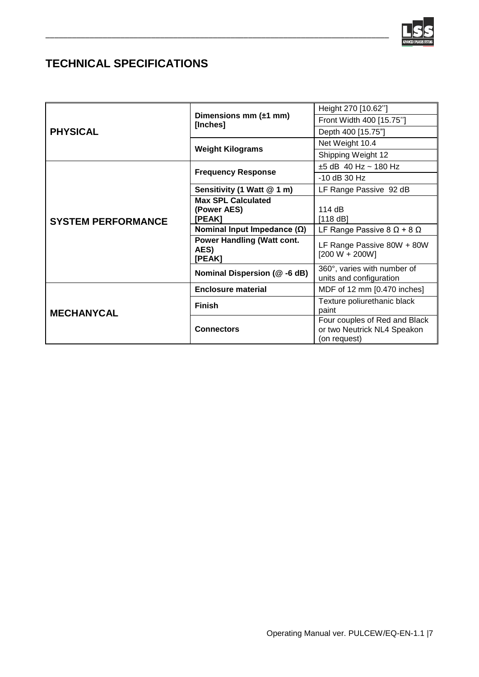

# <span id="page-6-0"></span>**TECHNICAL SPECIFICATIONS**

| <b>PHYSICAL</b>           |                                                     | Height 270 [10.62"]                                                          |
|---------------------------|-----------------------------------------------------|------------------------------------------------------------------------------|
|                           | Dimensions mm $(\pm 1$ mm)<br>[Inches]              | Front Width 400 [15.75"]                                                     |
|                           |                                                     | Depth 400 [15.75"]                                                           |
|                           | <b>Weight Kilograms</b>                             | Net Weight 10.4                                                              |
|                           |                                                     | Shipping Weight 12                                                           |
| <b>SYSTEM PERFORMANCE</b> | <b>Frequency Response</b>                           | $±5$ dB 40 Hz ~ 180 Hz                                                       |
|                           |                                                     | $-10$ dB 30 Hz                                                               |
|                           | Sensitivity (1 Watt @ 1 m)                          | LF Range Passive 92 dB                                                       |
|                           | <b>Max SPL Calculated</b>                           |                                                                              |
|                           | (Power AES)                                         | 114 $dB$                                                                     |
|                           | [PEAK]                                              | [118 dB]                                                                     |
|                           | Nominal Input Impedance $(\Omega)$                  | LF Range Passive 8 $\Omega$ + 8 $\Omega$                                     |
|                           | <b>Power Handling (Watt cont.</b><br>AES)<br>[PEAK] | LF Range Passive 80W + 80W<br>$[200 W + 200 W]$                              |
|                           | Nominal Dispersion (@-6 dB)                         | 360°, varies with number of<br>units and configuration                       |
| <b>MECHANYCAL</b>         | <b>Enclosure material</b>                           | MDF of 12 mm [0.470 inches]                                                  |
|                           | <b>Finish</b>                                       | Texture poliurethanic black<br>paint                                         |
|                           | <b>Connectors</b>                                   | Four couples of Red and Black<br>or two Neutrick NL4 Speakon<br>(on request) |

\_\_\_\_\_\_\_\_\_\_\_\_\_\_\_\_\_\_\_\_\_\_\_\_\_\_\_\_\_\_\_\_\_\_\_\_\_\_\_\_\_\_\_\_\_\_\_\_\_\_\_\_\_\_\_\_\_\_\_\_\_\_\_\_\_\_\_\_\_\_\_\_\_\_\_\_\_\_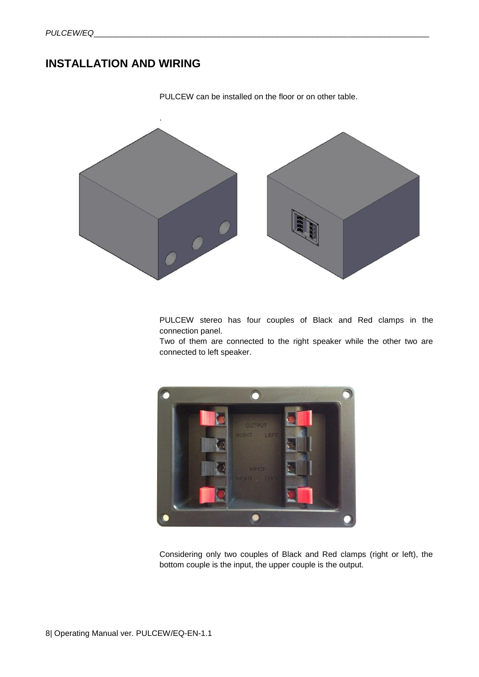## <span id="page-7-0"></span>**INSTALLATION AND WIRING**



PULCEW can be installed on the floor or on other table.

PULCEW stereo has four couples of Black and Red clamps in the connection panel.

Two of them are connected to the right speaker while the other two are connected to left speaker.



Considering only two couples of Black and Red clamps (right or left), the bottom couple is the input, the upper couple is the output.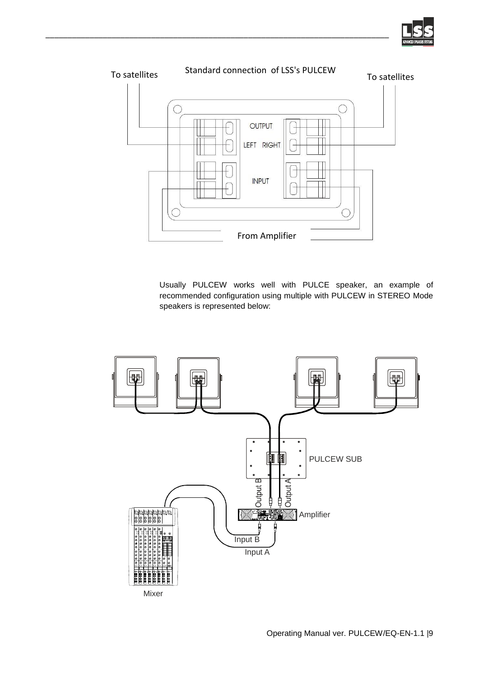



\_\_\_\_\_\_\_\_\_\_\_\_\_\_\_\_\_\_\_\_\_\_\_\_\_\_\_\_\_\_\_\_\_\_\_\_\_\_\_\_\_\_\_\_\_\_\_\_\_\_\_\_\_\_\_\_\_\_\_\_\_\_\_\_\_\_\_\_\_\_\_\_\_\_\_\_\_\_

Usually PULCEW works well with PULCE speaker, an example of recommended configuration using multiple with PULCEW in STEREO Mode speakers is represented below:

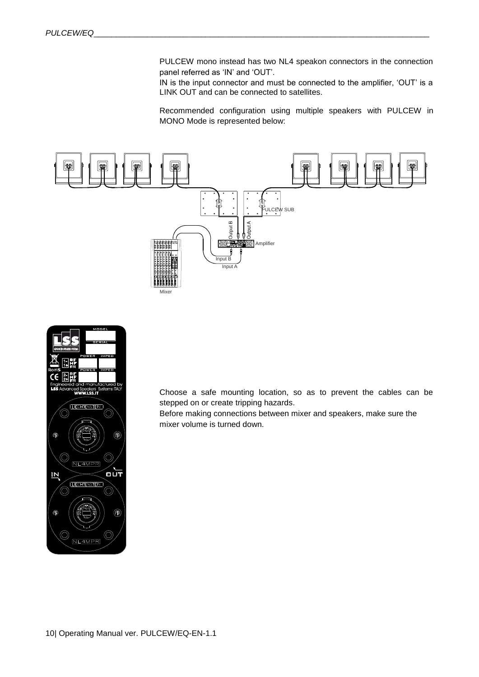PULCEW mono instead has two NL4 speakon connectors in the connection panel referred as 'IN' and 'OUT'.

IN is the input connector and must be connected to the amplifier, 'OUT' is a LINK OUT and can be connected to satellites.

Recommended configuration using multiple speakers with PULCEW in MONO Mode is represented below:





Choose a safe mounting location, so as to prevent the cables can be stepped on or create tripping hazards.

Before making connections between mixer and speakers, make sure the mixer volume is turned down.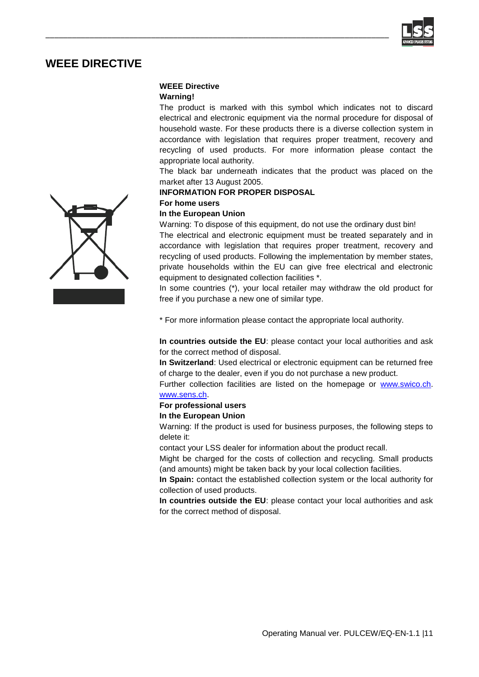

## <span id="page-10-0"></span>**WEEE DIRECTIVE**

## **WEEE Directive**

\_\_\_\_\_\_\_\_\_\_\_\_\_\_\_\_\_\_\_\_\_\_\_\_\_\_\_\_\_\_\_\_\_\_\_\_\_\_\_\_\_\_\_\_\_\_\_\_\_\_\_\_\_\_\_\_\_\_\_\_\_\_\_\_\_\_\_\_\_\_\_\_\_\_\_\_\_\_

#### **Warning!**

The product is marked with this symbol which indicates not to discard electrical and electronic equipment via the normal procedure for disposal of household waste. For these products there is a diverse collection system in accordance with legislation that requires proper treatment, recovery and recycling of used products. For more information please contact the appropriate local authority.

The black bar underneath indicates that the product was placed on the market after 13 August 2005.

#### **INFORMATION FOR PROPER DISPOSAL**

## **For home users**

### **In the European Union**

Warning: To dispose of this equipment, do not use the ordinary dust bin!

The electrical and electronic equipment must be treated separately and in accordance with legislation that requires proper treatment, recovery and recycling of used products. Following the implementation by member states, private households within the EU can give free electrical and electronic equipment to designated collection facilities \*.

In some countries (\*), your local retailer may withdraw the old product for free if you purchase a new one of similar type.

\* For more information please contact the appropriate local authority.

**In countries outside the EU**: please contact your local authorities and ask for the correct method of disposal.

**In Switzerland**: Used electrical or electronic equipment can be returned free of charge to the dealer, even if you do not purchase a new product.

Further collection facilities are listed on the homepage or [www.swico.ch.](http://www.swico.ch/) [www.sens.ch.](http://www.sens.ch/) 

## **For professional users**

#### **In the European Union**

Warning: If the product is used for business purposes, the following steps to delete it:

contact your LSS dealer for information about the product recall.

Might be charged for the costs of collection and recycling. Small products (and amounts) might be taken back by your local collection facilities.

**In Spain:** contact the established collection system or the local authority for collection of used products.

**In countries outside the EU**: please contact your local authorities and ask for the correct method of disposal.

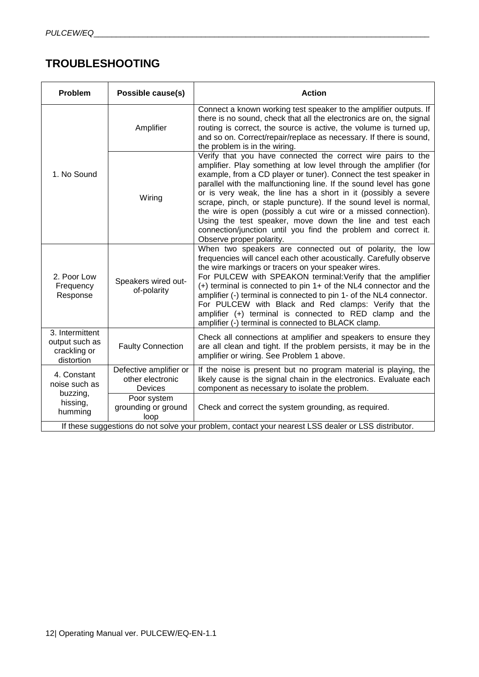# <span id="page-11-0"></span>**TROUBLESHOOTING**

| <b>Problem</b>                                                                                      | Possible cause(s)                          | <b>Action</b>                                                                                                                                                                                                                                                                                                                                                                                                                                                                                                                                                                                                                                  |  |
|-----------------------------------------------------------------------------------------------------|--------------------------------------------|------------------------------------------------------------------------------------------------------------------------------------------------------------------------------------------------------------------------------------------------------------------------------------------------------------------------------------------------------------------------------------------------------------------------------------------------------------------------------------------------------------------------------------------------------------------------------------------------------------------------------------------------|--|
| 1. No Sound                                                                                         | Amplifier                                  | Connect a known working test speaker to the amplifier outputs. If<br>there is no sound, check that all the electronics are on, the signal<br>routing is correct, the source is active, the volume is turned up,<br>and so on. Correct/repair/replace as necessary. If there is sound,<br>the problem is in the wiring.                                                                                                                                                                                                                                                                                                                         |  |
|                                                                                                     | Wiring                                     | Verify that you have connected the correct wire pairs to the<br>amplifier. Play something at low level through the amplifier (for<br>example, from a CD player or tuner). Connect the test speaker in<br>parallel with the malfunctioning line. If the sound level has gone<br>or is very weak, the line has a short in it (possibly a severe<br>scrape, pinch, or staple puncture). If the sound level is normal,<br>the wire is open (possibly a cut wire or a missed connection).<br>Using the test speaker, move down the line and test each<br>connection/junction until you find the problem and correct it.<br>Observe proper polarity. |  |
| 2. Poor Low<br>Frequency<br>Response                                                                | Speakers wired out-<br>of-polarity         | When two speakers are connected out of polarity, the low<br>frequencies will cancel each other acoustically. Carefully observe<br>the wire markings or tracers on your speaker wires.<br>For PULCEW with SPEAKON terminal: Verify that the amplifier<br>(+) terminal is connected to pin 1+ of the NL4 connector and the<br>amplifier (-) terminal is connected to pin 1- of the NL4 connector.<br>For PULCEW with Black and Red clamps: Verify that the<br>amplifier (+) terminal is connected to RED clamp and the<br>amplifier (-) terminal is connected to BLACK clamp.                                                                    |  |
| 3. Intermittent<br>output such as<br>crackling or<br>distortion                                     | <b>Faulty Connection</b>                   | Check all connections at amplifier and speakers to ensure they<br>are all clean and tight. If the problem persists, it may be in the<br>amplifier or wiring. See Problem 1 above.                                                                                                                                                                                                                                                                                                                                                                                                                                                              |  |
| 4. Constant<br>noise such as<br>Devices<br>buzzing,<br>hissing,<br>humming<br>loop                  | Defective amplifier or<br>other electronic | If the noise is present but no program material is playing, the<br>likely cause is the signal chain in the electronics. Evaluate each<br>component as necessary to isolate the problem.                                                                                                                                                                                                                                                                                                                                                                                                                                                        |  |
|                                                                                                     | Poor system<br>grounding or ground         | Check and correct the system grounding, as required.                                                                                                                                                                                                                                                                                                                                                                                                                                                                                                                                                                                           |  |
| If these suggestions do not solve your problem, contact your nearest LSS dealer or LSS distributor. |                                            |                                                                                                                                                                                                                                                                                                                                                                                                                                                                                                                                                                                                                                                |  |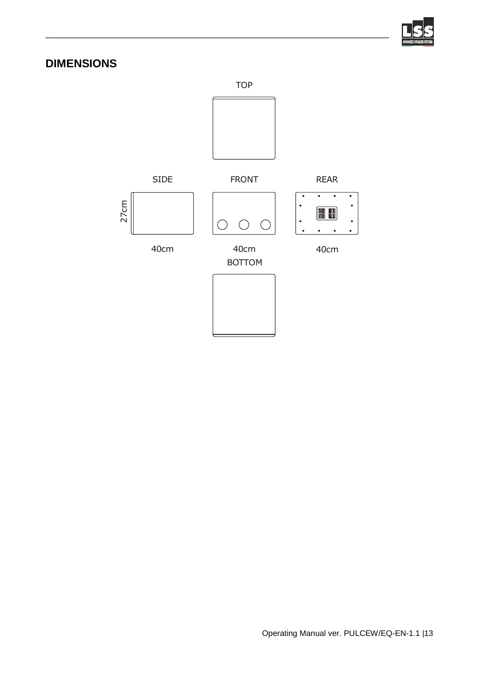

# <span id="page-12-0"></span>**DIMENSIONS**



\_\_\_\_\_\_\_\_\_\_\_\_\_\_\_\_\_\_\_\_\_\_\_\_\_\_\_\_\_\_\_\_\_\_\_\_\_\_\_\_\_\_\_\_\_\_\_\_\_\_\_\_\_\_\_\_\_\_\_\_\_\_\_\_\_\_\_\_\_\_\_\_\_\_\_\_\_\_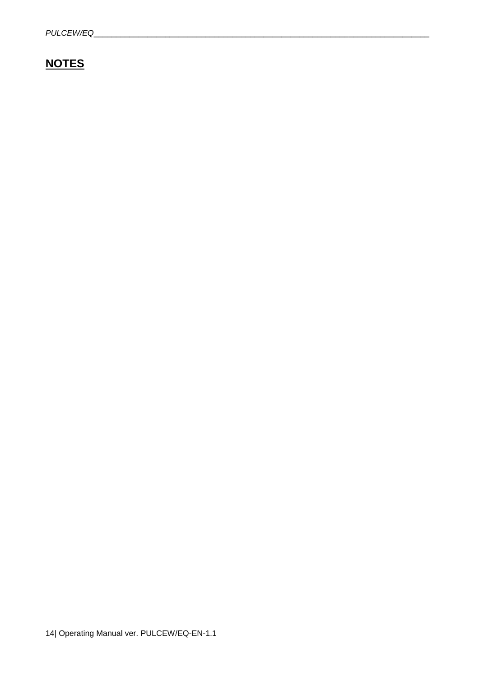# <span id="page-13-0"></span>**NOTES**